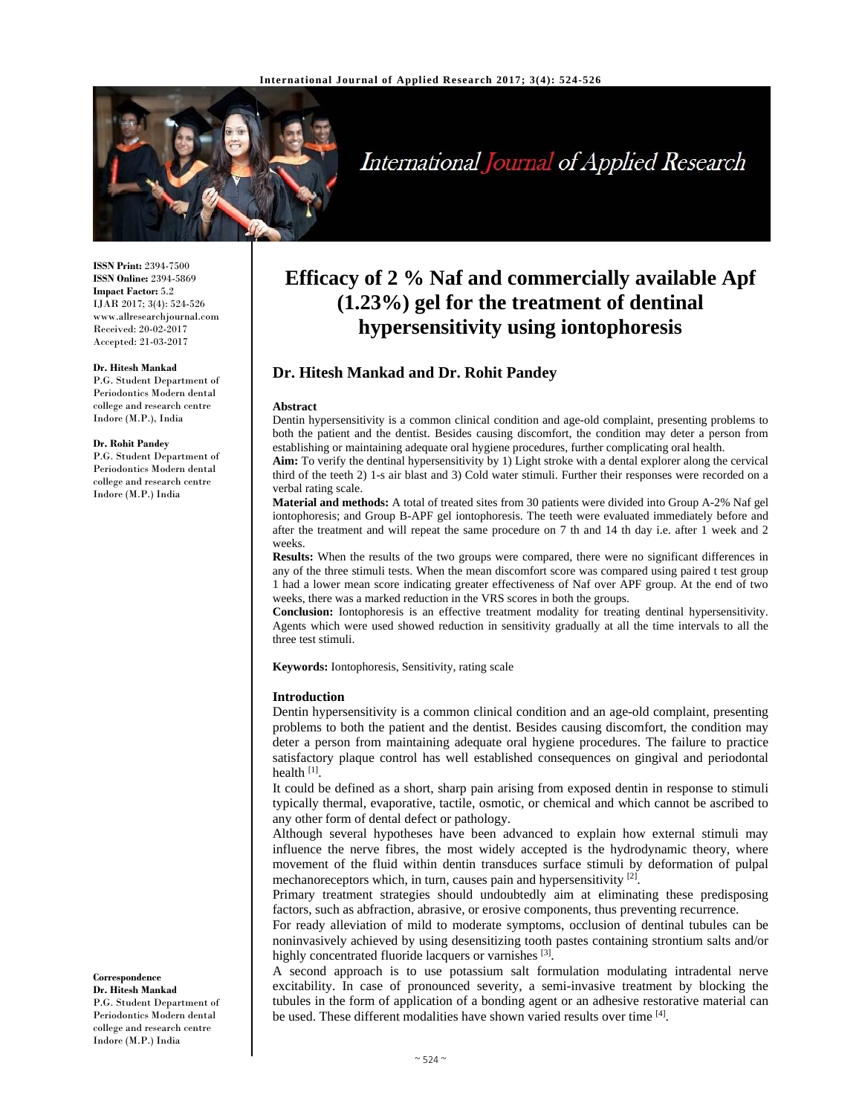

# International Journal of Applied Research

**ISSN Print:** 2394-7500 **ISSN Online:** 2394-5869 **Impact Factor:** 5.2 IJAR 2017; 3(4): 524-526 www.allresearchjournal.com Received: 20-02-2017 Accepted: 21-03-2017

#### **Dr. Hitesh Mankad**

P.G. Student Department of Periodontics Modern dental college and research centre Indore (M.P.), India

#### **Dr. Rohit Pandey**

P.G. Student Department of Periodontics Modern dental college and research centre Indore (M.P.) India

**Correspondence Dr. Hitesh Mankad** 

P.G. Student Department of Periodontics Modern dental college and research centre Indore (M.P.) India

# **Efficacy of 2 % Naf and commercially available Apf (1.23%) gel for the treatment of dentinal hypersensitivity using iontophoresis**

# **Dr. Hitesh Mankad and Dr. Rohit Pandey**

#### **Abstract**

Dentin hypersensitivity is a common clinical condition and age-old complaint, presenting problems to both the patient and the dentist. Besides causing discomfort, the condition may deter a person from establishing or maintaining adequate oral hygiene procedures, further complicating oral health.

**Aim:** To verify the dentinal hypersensitivity by 1) Light stroke with a dental explorer along the cervical third of the teeth 2) 1-s air blast and 3) Cold water stimuli. Further their responses were recorded on a verbal rating scale.

**Material and methods:** A total of treated sites from 30 patients were divided into Group A-2% Naf gel iontophoresis; and Group B-APF gel iontophoresis. The teeth were evaluated immediately before and after the treatment and will repeat the same procedure on 7 th and 14 th day i.e. after 1 week and 2 weeks.

**Results:** When the results of the two groups were compared, there were no significant differences in any of the three stimuli tests. When the mean discomfort score was compared using paired t test group 1 had a lower mean score indicating greater effectiveness of Naf over APF group. At the end of two weeks, there was a marked reduction in the VRS scores in both the groups.

**Conclusion:** Iontophoresis is an effective treatment modality for treating dentinal hypersensitivity. Agents which were used showed reduction in sensitivity gradually at all the time intervals to all the three test stimuli.

**Keywords:** Iontophoresis, Sensitivity, rating scale

#### **Introduction**

Dentin hypersensitivity is a common clinical condition and an age-old complaint, presenting problems to both the patient and the dentist. Besides causing discomfort, the condition may deter a person from maintaining adequate oral hygiene procedures. The failure to practice satisfactory plaque control has well established consequences on gingival and periodontal health  $[1]$ .

It could be defined as a short, sharp pain arising from exposed dentin in response to stimuli typically thermal, evaporative, tactile, osmotic, or chemical and which cannot be ascribed to any other form of dental defect or pathology.

Although several hypotheses have been advanced to explain how external stimuli may influence the nerve fibres, the most widely accepted is the hydrodynamic theory, where movement of the fluid within dentin transduces surface stimuli by deformation of pulpal mechanoreceptors which, in turn, causes pain and hypersensitivity  $[2]$ .

Primary treatment strategies should undoubtedly aim at eliminating these predisposing factors, such as abfraction, abrasive, or erosive components, thus preventing recurrence.

For ready alleviation of mild to moderate symptoms, occlusion of dentinal tubules can be noninvasively achieved by using desensitizing tooth pastes containing strontium salts and/or highly concentrated fluoride lacquers or varnishes [3].

A second approach is to use potassium salt formulation modulating intradental nerve excitability. In case of pronounced severity, a semi-invasive treatment by blocking the tubules in the form of application of a bonding agent or an adhesive restorative material can be used. These different modalities have shown varied results over time [4].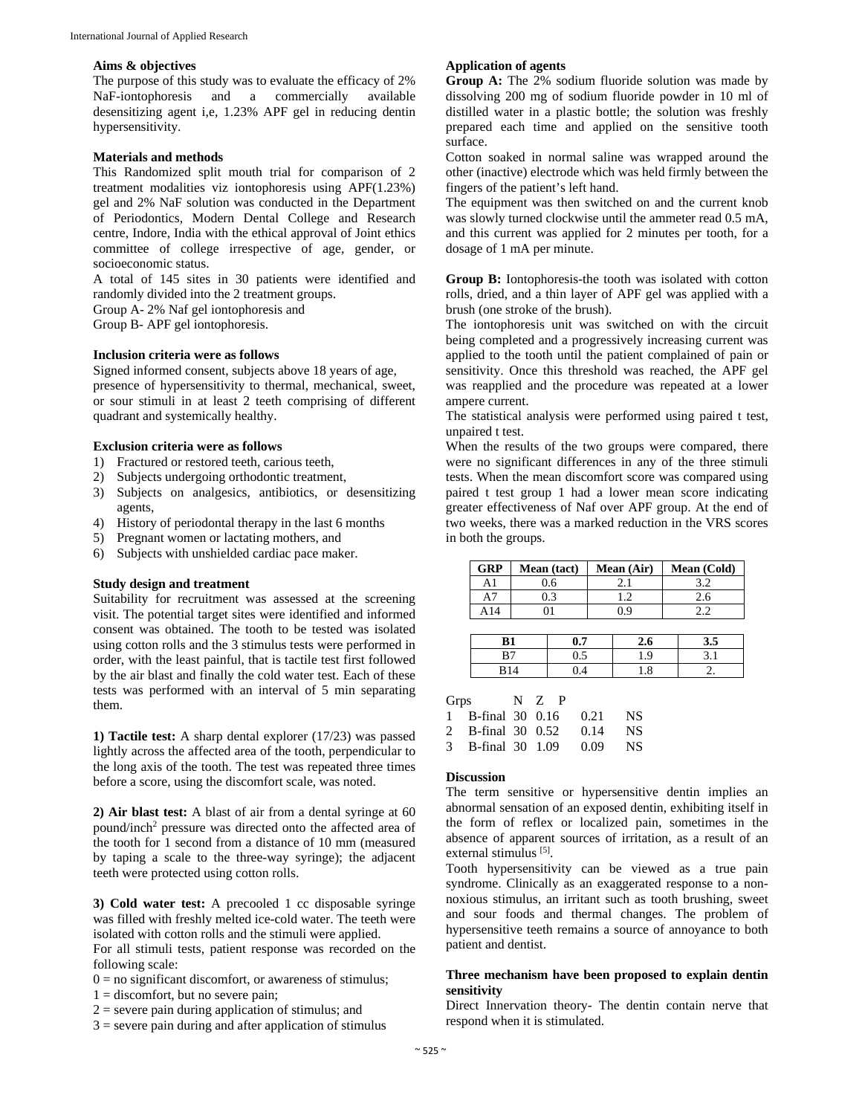#### **Aims & objectives**

The purpose of this study was to evaluate the efficacy of 2% NaF-iontophoresis and a commercially available desensitizing agent i,e, 1.23% APF gel in reducing dentin hypersensitivity.

#### **Materials and methods**

This Randomized split mouth trial for comparison of 2 treatment modalities viz iontophoresis using APF(1.23%) gel and 2% NaF solution was conducted in the Department of Periodontics, Modern Dental College and Research centre, Indore, India with the ethical approval of Joint ethics committee of college irrespective of age, gender, or socioeconomic status.

A total of 145 sites in 30 patients were identified and randomly divided into the 2 treatment groups.

Group A- 2% Naf gel iontophoresis and

Group B- APF gel iontophoresis.

#### **Inclusion criteria were as follows**

Signed informed consent, subjects above 18 years of age, presence of hypersensitivity to thermal, mechanical, sweet, or sour stimuli in at least 2 teeth comprising of different quadrant and systemically healthy.

#### **Exclusion criteria were as follows**

- 1) Fractured or restored teeth, carious teeth,
- 2) Subjects undergoing orthodontic treatment,
- 3) Subjects on analgesics, antibiotics, or desensitizing agents,
- 4) History of periodontal therapy in the last 6 months
- 5) Pregnant women or lactating mothers, and
- 6) Subjects with unshielded cardiac pace maker.

#### **Study design and treatment**

Suitability for recruitment was assessed at the screening visit. The potential target sites were identified and informed consent was obtained. The tooth to be tested was isolated using cotton rolls and the 3 stimulus tests were performed in order, with the least painful, that is tactile test first followed by the air blast and finally the cold water test. Each of these tests was performed with an interval of 5 min separating them.

**1) Tactile test:** A sharp dental explorer (17/23) was passed lightly across the affected area of the tooth, perpendicular to the long axis of the tooth. The test was repeated three times before a score, using the discomfort scale, was noted.

**2) Air blast test:** A blast of air from a dental syringe at 60 pound/inch<sup>2</sup> pressure was directed onto the affected area of the tooth for 1 second from a distance of 10 mm (measured by taping a scale to the three-way syringe); the adjacent teeth were protected using cotton rolls.

**3) Cold water test:** A precooled 1 cc disposable syringe was filled with freshly melted ice-cold water. The teeth were isolated with cotton rolls and the stimuli were applied.

For all stimuli tests, patient response was recorded on the following scale:

- $0 =$  no significant discomfort, or awareness of stimulus;
- $1 =$  discomfort, but no severe pain;
- $2$  = severe pain during application of stimulus; and
- $3$  = severe pain during and after application of stimulus

#### **Application of agents**

**Group A:** The 2% sodium fluoride solution was made by dissolving 200 mg of sodium fluoride powder in 10 ml of distilled water in a plastic bottle; the solution was freshly prepared each time and applied on the sensitive tooth surface.

Cotton soaked in normal saline was wrapped around the other (inactive) electrode which was held firmly between the fingers of the patient's left hand.

The equipment was then switched on and the current knob was slowly turned clockwise until the ammeter read 0.5 mA, and this current was applied for 2 minutes per tooth, for a dosage of 1 mA per minute.

**Group B:** Iontophoresis-the tooth was isolated with cotton rolls, dried, and a thin layer of APF gel was applied with a brush (one stroke of the brush).

The iontophoresis unit was switched on with the circuit being completed and a progressively increasing current was applied to the tooth until the patient complained of pain or sensitivity. Once this threshold was reached, the APF gel was reapplied and the procedure was repeated at a lower ampere current.

The statistical analysis were performed using paired t test, unpaired t test.

When the results of the two groups were compared, there were no significant differences in any of the three stimuli tests. When the mean discomfort score was compared using paired t test group 1 had a lower mean score indicating greater effectiveness of Naf over APF group. At the end of two weeks, there was a marked reduction in the VRS scores in both the groups.

| <b>GRP</b> | Mean (tact) |     | Mean (Air) |     |     | Mean (Cold) |  |
|------------|-------------|-----|------------|-----|-----|-------------|--|
| A1         | 0.6         |     | 2.1        |     |     | 3.2         |  |
| A7         | 0.3         |     | 1.2        |     |     | 2.6         |  |
| A14        |             |     | 0.9        |     | 2.2 |             |  |
|            |             |     |            |     |     |             |  |
| B1         |             | 0.7 |            | 2.6 |     | 3.5         |  |
| B7         |             | 0.5 |            | 1.9 |     | 3.1         |  |
| <b>B14</b> |             |     |            | 1.8 |     |             |  |

| Grps                   | $N$ $Z$ $P$ |      |     |
|------------------------|-------------|------|-----|
| 1 B-final 30 0.16 0.21 |             |      | NS. |
| 2 B-final 30 0.52 0.14 |             |      | NS. |
| 3 B-final 30 1.09      |             | 0.09 | NS. |

#### **Discussion**

The term sensitive or hypersensitive dentin implies an abnormal sensation of an exposed dentin, exhibiting itself in the form of reflex or localized pain, sometimes in the absence of apparent sources of irritation, as a result of an external stimulus [5].

Tooth hypersensitivity can be viewed as a true pain syndrome. Clinically as an exaggerated response to a nonnoxious stimulus, an irritant such as tooth brushing, sweet and sour foods and thermal changes. The problem of hypersensitive teeth remains a source of annoyance to both patient and dentist.

# **Three mechanism have been proposed to explain dentin sensitivity**

Direct Innervation theory- The dentin contain nerve that respond when it is stimulated.